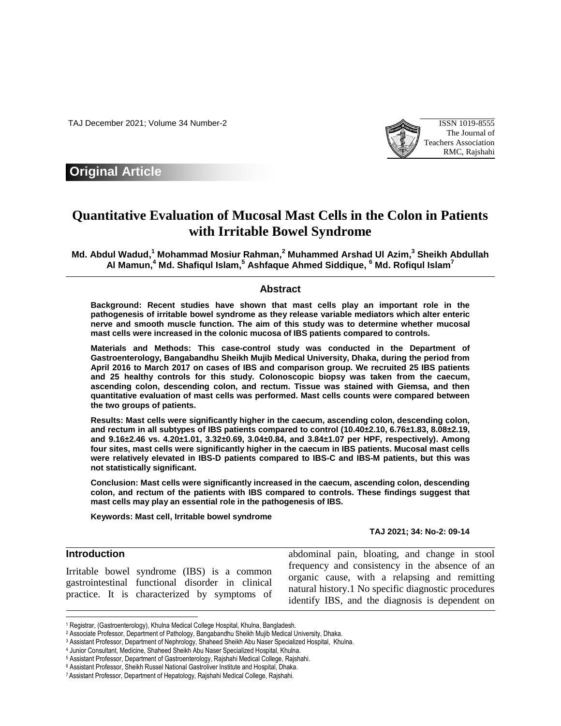TAJ December 2021; Volume 34 Number-2 ISSN 1019-8555



## **Original Article**

# **Quantitative Evaluation of Mucosal Mast Cells in the Colon in Patients with Irritable Bowel Syndrome**

**Md. Abdul Wadud, <sup>1</sup> Mohammad Mosiur Rahman, <sup>2</sup> Muhammed Arshad Ul Azim, 3 Sheikh Abdullah Al Mamun, <sup>4</sup> Md. Shafiqul Islam, <sup>5</sup> Ashfaque Ahmed Siddique, <sup>6</sup> Md. Rofiqul Islam<sup>7</sup>**

#### **Abstract**

**Background: Recent studies have shown that mast cells play an important role in the pathogenesis of irritable bowel syndrome as they release variable mediators which alter enteric nerve and smooth muscle function. The aim of this study was to determine whether mucosal mast cells were increased in the colonic mucosa of IBS patients compared to controls.** 

**Materials and Methods: This case-control study was conducted in the Department of Gastroenterology, Bangabandhu Sheikh Mujib Medical University, Dhaka, during the period from April 2016 to March 2017 on cases of IBS and comparison group. We recruited 25 IBS patients and 25 healthy controls for this study. Colonoscopic biopsy was taken from the caecum, ascending colon, descending colon, and rectum. Tissue was stained with Giemsa, and then quantitative evaluation of mast cells was performed. Mast cells counts were compared between the two groups of patients.** 

**Results: Mast cells were significantly higher in the caecum, ascending colon, descending colon, and rectum in all subtypes of IBS patients compared to control (10.40±2.10, 6.76±1.83, 8.08±2.19, and 9.16±2.46 vs. 4.20±1.01, 3.32±0.69, 3.04±0.84, and 3.84±1.07 per HPF, respectively). Among four sites, mast cells were significantly higher in the caecum in IBS patients. Mucosal mast cells were relatively elevated in IBS-D patients compared to IBS-C and IBS-M patients, but this was not statistically significant.** 

**Conclusion: Mast cells were significantly increased in the caecum, ascending colon, descending colon, and rectum of the patients with IBS compared to controls. These findings suggest that mast cells may play an essential role in the pathogenesis of IBS.**

**Keywords: Mast cell, Irritable bowel syndrome**

**TAJ 2021; 34: No-2: 09-14**

## **Introduction**

 $\overline{a}$ 

Irritable bowel syndrome (IBS) is a common gastrointestinal functional disorder in clinical practice. It is characterized by symptoms of abdominal pain, bloating, and change in stool frequency and consistency in the absence of an organic cause, with a relapsing and remitting natural history.1 No specific diagnostic procedures identify IBS, and the diagnosis is dependent on

<sup>1</sup> Registrar, (Gastroenterology), Khulna Medical College Hospital, Khulna, Bangladesh.

<sup>2</sup> Associate Professor, Department of Pathology, Bangabandhu Sheikh Mujib Medical University, Dhaka.

<sup>3</sup> Assistant Professor, Department of Nephrology, Shaheed Sheikh Abu Naser Specialized Hospital, Khulna.

<sup>4</sup> Junior Consultant, Medicine, Shaheed Sheikh Abu Naser Specialized Hospital, Khulna.

<sup>5</sup> Assistant Professor, Department of Gastroenterology, Rajshahi Medical College, Rajshahi.

<sup>6</sup> Assistant Professor, Sheikh Russel National Gastroliver Institute and Hospital, Dhaka.

<sup>7</sup> Assistant Professor, Department of Hepatology, Rajshahi Medical College, Rajshahi.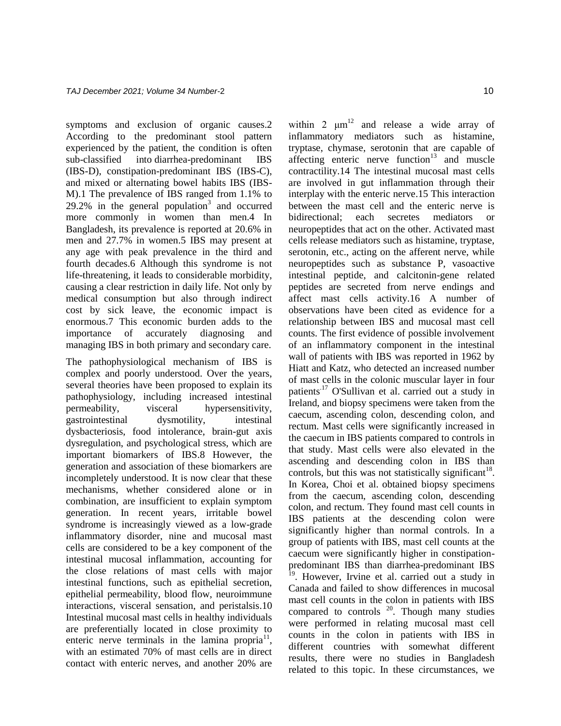symptoms and exclusion of organic causes.2 According to the predominant stool pattern experienced by the patient, the condition is often sub-classified into diarrhea-predominant IBS (IBS-D), constipation-predominant IBS (IBS-C), and mixed or alternating bowel habits IBS (IBS-M).1 The prevalence of IBS ranged from 1.1% to  $29.2\%$  in the general population<sup>3</sup> and occurred more commonly in women than men.4 In Bangladesh, its prevalence is reported at 20.6% in men and 27.7% in women.5 IBS may present at any age with peak prevalence in the third and fourth decades.6 Although this syndrome is not life-threatening, it leads to considerable morbidity, causing a clear restriction in daily life. Not only by medical consumption but also through indirect cost by sick leave, the economic impact is enormous.7 This economic burden adds to the importance of accurately diagnosing and managing IBS in both primary and secondary care.

The pathophysiological mechanism of IBS is complex and poorly understood. Over the years, several theories have been proposed to explain its pathophysiology, including increased intestinal permeability, visceral hypersensitivity, gastrointestinal dysmotility, intestinal dysbacteriosis, food intolerance, brain-gut axis dysregulation, and psychological stress, which are important biomarkers of IBS.8 However, the generation and association of these biomarkers are incompletely understood. It is now clear that these mechanisms, whether considered alone or in combination, are insufficient to explain symptom generation. In recent years, irritable bowel syndrome is increasingly viewed as a low-grade inflammatory disorder, nine and mucosal mast cells are considered to be a key component of the intestinal mucosal inflammation, accounting for the close relations of mast cells with major intestinal functions, such as epithelial secretion, epithelial permeability, blood flow, neuroimmune interactions, visceral sensation, and peristalsis.10 Intestinal mucosal mast cells in healthy individuals are preferentially located in close proximity to enteric nerve terminals in the lamina propria $11$ , with an estimated 70% of mast cells are in direct contact with enteric nerves, and another 20% are

within 2  $\mu$ m<sup>12</sup> and release a wide array of inflammatory mediators such as histamine, tryptase, chymase, serotonin that are capable of affecting enteric nerve function $13$  and muscle contractility.14 The intestinal mucosal mast cells are involved in gut inflammation through their interplay with the enteric nerve.15 This interaction between the mast cell and the enteric nerve is bidirectional; each secretes mediators or neuropeptides that act on the other. Activated mast cells release mediators such as histamine, tryptase, serotonin, etc., acting on the afferent nerve, while neuropeptides such as substance P, vasoactive intestinal peptide, and calcitonin-gene related peptides are secreted from nerve endings and affect mast cells activity.16 A number of observations have been cited as evidence for a relationship between IBS and mucosal mast cell counts. The first evidence of possible involvement of an inflammatory component in the intestinal wall of patients with IBS was reported in 1962 by Hiatt and Katz, who detected an increased number of mast cells in the colonic muscular layer in four patients.17 O'Sullivan et al. carried out a study in Ireland, and biopsy specimens were taken from the caecum, ascending colon, descending colon, and rectum. Mast cells were significantly increased in the caecum in IBS patients compared to controls in that study. Mast cells were also elevated in the ascending and descending colon in IBS than controls, but this was not statistically significant<sup>18</sup>. In Korea, Choi et al. obtained biopsy specimens from the caecum, ascending colon, descending colon, and rectum. They found mast cell counts in IBS patients at the descending colon were significantly higher than normal controls. In a group of patients with IBS, mast cell counts at the caecum were significantly higher in constipationpredominant IBS than diarrhea-predominant IBS <sup>19</sup>. However, Irvine et al. carried out a study in Canada and failed to show differences in mucosal mast cell counts in the colon in patients with IBS compared to controls  $20$ . Though many studies were performed in relating mucosal mast cell counts in the colon in patients with IBS in different countries with somewhat different results, there were no studies in Bangladesh related to this topic. In these circumstances, we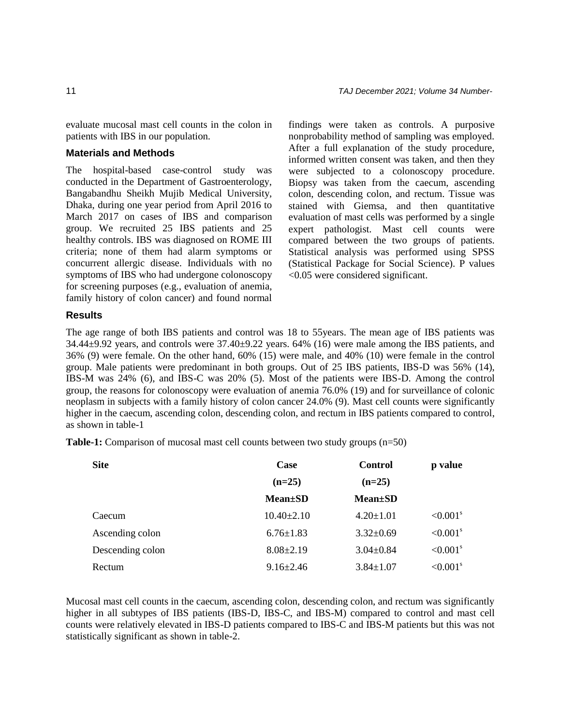evaluate mucosal mast cell counts in the colon in patients with IBS in our population.

### **Materials and Methods**

The hospital-based case-control study was conducted in the Department of Gastroenterology, Bangabandhu Sheikh Mujib Medical University, Dhaka, during one year period from April 2016 to March 2017 on cases of IBS and comparison group. We recruited 25 IBS patients and 25 healthy controls. IBS was diagnosed on ROME III criteria; none of them had alarm symptoms or concurrent allergic disease. Individuals with no symptoms of IBS who had undergone colonoscopy for screening purposes (e.g., evaluation of anemia, family history of colon cancer) and found normal findings were taken as controls. A purposive nonprobability method of sampling was employed. After a full explanation of the study procedure, informed written consent was taken, and then they were subjected to a colonoscopy procedure. Biopsy was taken from the caecum, ascending colon, descending colon, and rectum. Tissue was stained with Giemsa, and then quantitative evaluation of mast cells was performed by a single expert pathologist. Mast cell counts were compared between the two groups of patients. Statistical analysis was performed using SPSS (Statistical Package for Social Science). P values <0.05 were considered significant.

#### **Results**

The age range of both IBS patients and control was 18 to 55years. The mean age of IBS patients was  $34.44\pm9.92$  years, and controls were  $37.40\pm9.22$  years. 64% (16) were male among the IBS patients, and 36% (9) were female. On the other hand, 60% (15) were male, and 40% (10) were female in the control group. Male patients were predominant in both groups. Out of 25 IBS patients, IBS-D was 56% (14), IBS-M was 24% (6), and IBS-C was 20% (5). Most of the patients were IBS-D. Among the control group, the reasons for colonoscopy were evaluation of anemia 76.0% (19) and for surveillance of colonic neoplasm in subjects with a family history of colon cancer 24.0% (9). Mast cell counts were significantly higher in the caecum, ascending colon, descending colon, and rectum in IBS patients compared to control, as shown in table-1

**Table-1:** Comparison of mucosal mast cell counts between two study groups (n=50)

| <b>Site</b>      | Case             | Control         | p value                |  |
|------------------|------------------|-----------------|------------------------|--|
|                  | $(n=25)$         | $(n=25)$        |                        |  |
|                  | $Mean \pm SD$    | <b>Mean</b> ±SD |                        |  |
| Caecum           | $10.40 \pm 2.10$ | $4.20 \pm 1.01$ | $< 0.001$ <sup>s</sup> |  |
| Ascending colon  | $6.76 \pm 1.83$  | $3.32 \pm 0.69$ | $< 0.001$ <sup>s</sup> |  |
| Descending colon | $8.08 \pm 2.19$  | $3.04 \pm 0.84$ | $< 0.001$ <sup>s</sup> |  |
| Rectum           | $9.16 \pm 2.46$  | $3.84 \pm 1.07$ | $< 0.001$ <sup>s</sup> |  |

Mucosal mast cell counts in the caecum, ascending colon, descending colon, and rectum was significantly higher in all subtypes of IBS patients (IBS-D, IBS-C, and IBS-M) compared to control and mast cell counts were relatively elevated in IBS-D patients compared to IBS-C and IBS-M patients but this was not statistically significant as shown in table-2.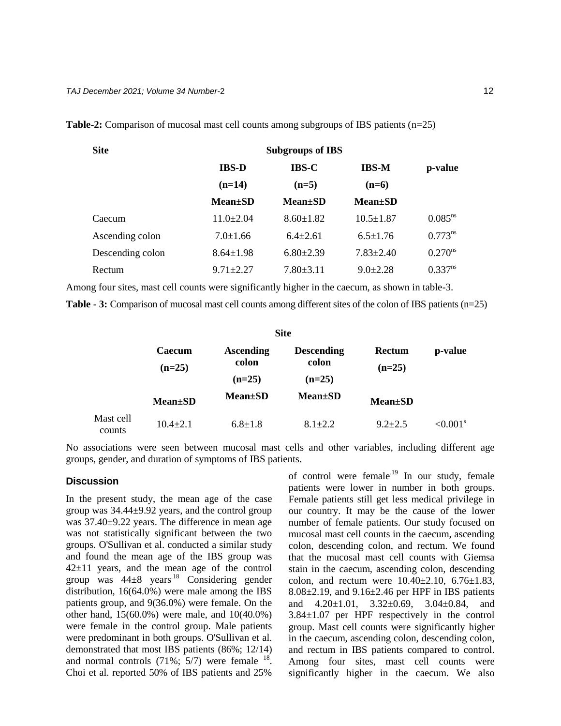| <b>Site</b>      | <b>Subgroups of IBS</b> |                 |                 |                       |
|------------------|-------------------------|-----------------|-----------------|-----------------------|
|                  | <b>IBS-D</b>            | <b>IBS-C</b>    | <b>IBS-M</b>    | p-value               |
|                  | $(n=14)$                | $(n=5)$         | $(n=6)$         |                       |
|                  | <b>Mean±SD</b>          | <b>Mean</b> ±SD | $Mean \pm SD$   |                       |
| Caecum           | $11.0 \pm 2.04$         | $8.60 \pm 1.82$ | $10.5 \pm 1.87$ | $0.085^{ns}$          |
| Ascending colon  | $7.0 \pm 1.66$          | $6.4 \pm 2.61$  | $6.5 \pm 1.76$  | $0.773^{ns}$          |
| Descending colon | $8.64 \pm 1.98$         | $6.80 \pm 2.39$ | $7.83 \pm 2.40$ | $0.270^{\text{ns}}$   |
| Rectum           | $9.71 \pm 2.27$         | $7.80 \pm 3.11$ | $9.0 \pm 2.28$  | $0.337$ <sup>ns</sup> |

**Table-2:** Comparison of mucosal mast cell counts among subgroups of IBS patients (n=25)

Among four sites, mast cell counts were significantly higher in the caecum, as shown in table-3.

**Table - 3:** Comparison of mucosal mast cell counts among different sites of the colon of IBS patients (n=25)

| <b>Site</b>         |                    |                                       |                                        |                    |                |  |
|---------------------|--------------------|---------------------------------------|----------------------------------------|--------------------|----------------|--|
|                     | Caecum<br>$(n=25)$ | <b>Ascending</b><br>colon<br>$(n=25)$ | <b>Descending</b><br>colon<br>$(n=25)$ | Rectum<br>$(n=25)$ | p-value        |  |
|                     | <b>Mean</b> ±SD    | $Mean \pm SD$                         | $Mean \pm SD$                          | <b>Mean</b> ±SD    |                |  |
| Mast cell<br>counts | $10.4 \pm 2.1$     | $6.8 \pm 1.8$                         | $8.1 \pm 2.2$                          | $9.2 + 2.5$        | $\leq 0.001^s$ |  |

No associations were seen between mucosal mast cells and other variables, including different age groups, gender, and duration of symptoms of IBS patients.

#### **Discussion**

In the present study, the mean age of the case group was 34.44±9.92 years, and the control group was 37.40±9.22 years. The difference in mean age was not statistically significant between the two groups. O'Sullivan et al. conducted a similar study and found the mean age of the IBS group was 42±11 years, and the mean age of the control group was  $44\pm8$  years<sup>18</sup> Considering gender distribution, 16(64.0%) were male among the IBS patients group, and 9(36.0%) were female. On the other hand, 15(60.0%) were male, and 10(40.0%) were female in the control group. Male patients were predominant in both groups. O'Sullivan et al. demonstrated that most IBS patients (86%; 12/14) and normal controls  $(71\%; 5/7)$  were female  $^{18}$ . Choi et al. reported 50% of IBS patients and 25%

of control were female<sup> $19$ </sup> In our study, female patients were lower in number in both groups. Female patients still get less medical privilege in our country. It may be the cause of the lower number of female patients. Our study focused on mucosal mast cell counts in the caecum, ascending colon, descending colon, and rectum. We found that the mucosal mast cell counts with Giemsa stain in the caecum, ascending colon, descending colon, and rectum were  $10.40 \pm 2.10$ ,  $6.76 \pm 1.83$ ,  $8.08\pm2.19$ , and  $9.16\pm2.46$  per HPF in IBS patients and 4.20±1.01, 3.32±0.69, 3.04±0.84, and 3.84±1.07 per HPF respectively in the control group. Mast cell counts were significantly higher in the caecum, ascending colon, descending colon, and rectum in IBS patients compared to control. Among four sites, mast cell counts were significantly higher in the caecum. We also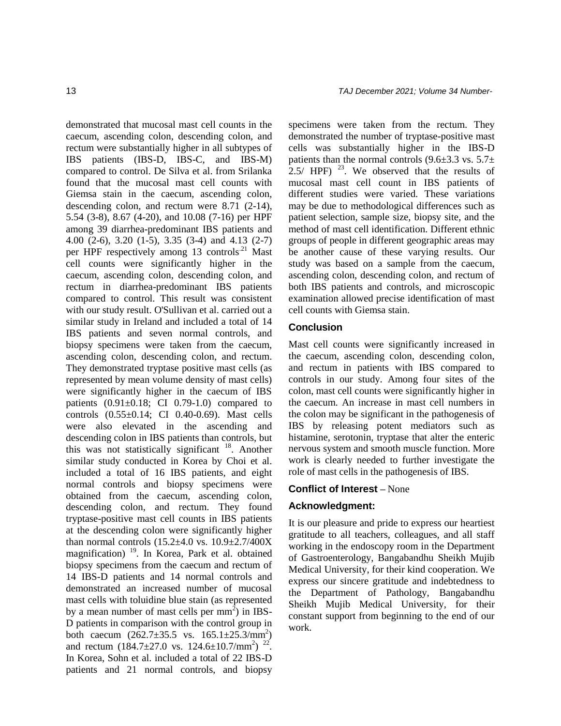demonstrated that mucosal mast cell counts in the caecum, ascending colon, descending colon, and rectum were substantially higher in all subtypes of IBS patients (IBS-D, IBS-C, and IBS-M) compared to control. De Silva et al. from Srilanka found that the mucosal mast cell counts with Giemsa stain in the caecum, ascending colon, descending colon, and rectum were 8.71 (2-14), 5.54 (3-8), 8.67 (4-20), and 10.08 (7-16) per HPF among 39 diarrhea-predominant IBS patients and 4.00 (2-6), 3.20 (1-5), 3.35 (3-4) and 4.13 (2-7) per HPF respectively among 13 controls<sup>21</sup> Mast cell counts were significantly higher in the caecum, ascending colon, descending colon, and rectum in diarrhea-predominant IBS patients compared to control. This result was consistent with our study result. O'Sullivan et al. carried out a similar study in Ireland and included a total of 14 IBS patients and seven normal controls, and biopsy specimens were taken from the caecum, ascending colon, descending colon, and rectum. They demonstrated tryptase positive mast cells (as represented by mean volume density of mast cells) were significantly higher in the caecum of IBS patients  $(0.91\pm0.18;$  CI 0.79-1.0) compared to controls (0.55±0.14; CI 0.40-0.69). Mast cells were also elevated in the ascending and descending colon in IBS patients than controls, but this was not statistically significant  $18$ . Another similar study conducted in Korea by Choi et al. included a total of 16 IBS patients, and eight normal controls and biopsy specimens were obtained from the caecum, ascending colon, descending colon, and rectum. They found tryptase-positive mast cell counts in IBS patients at the descending colon were significantly higher than normal controls  $(15.2 \pm 4.0 \text{ vs. } 10.9 \pm 2.7/400 \text{X})$ magnification) <sup>19</sup>. In Korea, Park et al. obtained biopsy specimens from the caecum and rectum of 14 IBS-D patients and 14 normal controls and demonstrated an increased number of mucosal mast cells with toluidine blue stain (as represented by a mean number of mast cells per  $mm<sup>2</sup>$ ) in IBS-D patients in comparison with the control group in both caecum  $(262.7 \pm 35.5 \text{ vs. } 165.1 \pm 25.3/\text{mm}^2)$ and rectum  $(184.7 \pm 27.0 \text{ vs. } 124.6 \pm 10.7/\text{mm}^2)^{-22}$ . In Korea, Sohn et al. included a total of 22 IBS-D patients and 21 normal controls, and biopsy

specimens were taken from the rectum. They demonstrated the number of tryptase-positive mast cells was substantially higher in the IBS-D patients than the normal controls  $(9.6\pm3.3 \text{ vs. } 5.7\pm$ 2.5/ HPF)  $^{23}$ . We observed that the results of mucosal mast cell count in IBS patients of different studies were varied. These variations may be due to methodological differences such as patient selection, sample size, biopsy site, and the method of mast cell identification. Different ethnic groups of people in different geographic areas may be another cause of these varying results. Our study was based on a sample from the caecum, ascending colon, descending colon, and rectum of both IBS patients and controls, and microscopic examination allowed precise identification of mast cell counts with Giemsa stain.

## **Conclusion**

Mast cell counts were significantly increased in the caecum, ascending colon, descending colon, and rectum in patients with IBS compared to controls in our study. Among four sites of the colon, mast cell counts were significantly higher in the caecum. An increase in mast cell numbers in the colon may be significant in the pathogenesis of IBS by releasing potent mediators such as histamine, serotonin, tryptase that alter the enteric nervous system and smooth muscle function. More work is clearly needed to further investigate the role of mast cells in the pathogenesis of IBS.

## **Conflict of Interest –** None

## **Acknowledgment:**

It is our pleasure and pride to express our heartiest gratitude to all teachers, colleagues, and all staff working in the endoscopy room in the Department of Gastroenterology, Bangabandhu Sheikh Mujib Medical University, for their kind cooperation. We express our sincere gratitude and indebtedness to the Department of Pathology, Bangabandhu Sheikh Mujib Medical University, for their constant support from beginning to the end of our work.